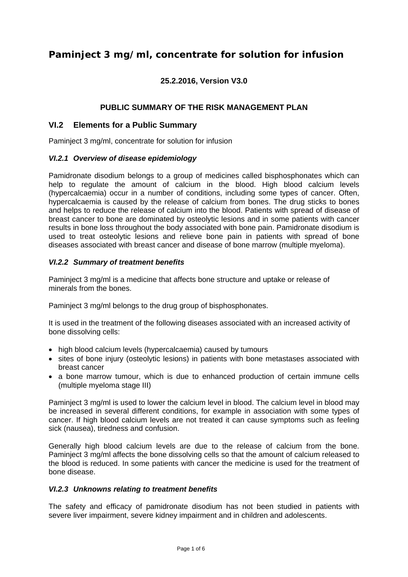# **Paminject 3 mg/ml, concentrate for solution for infusion**

## **25.2.2016, Version V3.0**

### **PUBLIC SUMMARY OF THE RISK MANAGEMENT PLAN**

### **VI.2 Elements for a Public Summary**

Paminject 3 mg/ml, concentrate for solution for infusion

#### *VI.2.1 Overview of disease epidemiology*

Pamidronate disodium belongs to a group of medicines called bisphosphonates which can help to regulate the amount of calcium in the blood. High blood calcium levels (hypercalcaemia) occur in a number of conditions, including some types of cancer. Often, hypercalcaemia is caused by the release of calcium from bones. The drug sticks to bones and helps to reduce the release of calcium into the blood. Patients with spread of disease of breast cancer to bone are dominated by osteolytic lesions and in some patients with cancer results in bone loss throughout the body associated with bone pain. Pamidronate disodium is used to treat osteolytic lesions and relieve bone pain in patients with spread of bone diseases associated with breast cancer and disease of bone marrow (multiple myeloma).

### *VI.2.2 Summary of treatment benefits*

Paminject 3 mg/ml is a medicine that affects bone structure and uptake or release of minerals from the bones.

Paminject 3 mg/ml belongs to the drug group of bisphosphonates.

It is used in the treatment of the following diseases associated with an increased activity of bone dissolving cells:

- high blood calcium levels (hypercalcaemia) caused by tumours
- sites of bone injury (osteolytic lesions) in patients with bone metastases associated with breast cancer
- a bone marrow tumour, which is due to enhanced production of certain immune cells (multiple myeloma stage III)

Paminject 3 mg/ml is used to lower the calcium level in blood. The calcium level in blood may be increased in several different conditions, for example in association with some types of cancer. If high blood calcium levels are not treated it can cause symptoms such as feeling sick (nausea), tiredness and confusion.

Generally high blood calcium levels are due to the release of calcium from the bone. Paminject 3 mg/ml affects the bone dissolving cells so that the amount of calcium released to the blood is reduced. In some patients with cancer the medicine is used for the treatment of bone disease.

#### *VI.2.3 Unknowns relating to treatment benefits*

The safety and efficacy of pamidronate disodium has not been studied in patients with severe liver impairment, severe kidney impairment and in children and adolescents.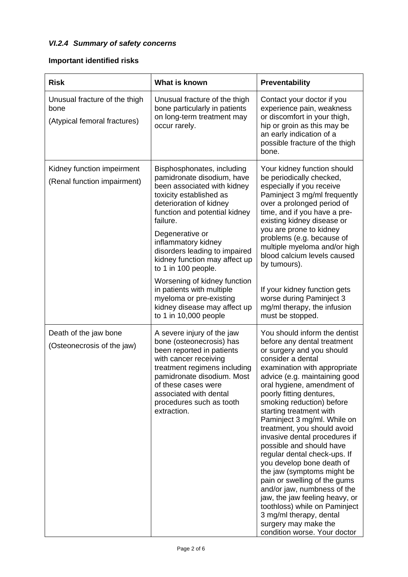# *VI.2.4 Summary of safety concerns*

# **Important identified risks**

| <b>Risk</b>                                                           | What is known                                                                                                                                                                                                                                                                                                                                                                                                                                                                  | Preventability                                                                                                                                                                                                                                                                                                                                                                                                                                                                                                                                                                                                                                                                                                                               |
|-----------------------------------------------------------------------|--------------------------------------------------------------------------------------------------------------------------------------------------------------------------------------------------------------------------------------------------------------------------------------------------------------------------------------------------------------------------------------------------------------------------------------------------------------------------------|----------------------------------------------------------------------------------------------------------------------------------------------------------------------------------------------------------------------------------------------------------------------------------------------------------------------------------------------------------------------------------------------------------------------------------------------------------------------------------------------------------------------------------------------------------------------------------------------------------------------------------------------------------------------------------------------------------------------------------------------|
| Unusual fracture of the thigh<br>bone<br>(Atypical femoral fractures) | Unusual fracture of the thigh<br>bone particularly in patients<br>on long-term treatment may<br>occur rarely.                                                                                                                                                                                                                                                                                                                                                                  | Contact your doctor if you<br>experience pain, weakness<br>or discomfort in your thigh,<br>hip or groin as this may be<br>an early indication of a<br>possible fracture of the thigh<br>bone.                                                                                                                                                                                                                                                                                                                                                                                                                                                                                                                                                |
| Kidney function impeirment<br>(Renal function impairment)             | Bisphosphonates, including<br>pamidronate disodium, have<br>been associated with kidney<br>toxicity established as<br>deterioration of kidney<br>function and potential kidney<br>failure.<br>Degenerative or<br>inflammatory kidney<br>disorders leading to impaired<br>kidney function may affect up<br>to 1 in 100 people.<br>Worsening of kidney function<br>in patients with multiple<br>myeloma or pre-existing<br>kidney disease may affect up<br>to 1 in 10,000 people | Your kidney function should<br>be periodically checked,<br>especially if you receive<br>Paminject 3 mg/ml frequently<br>over a prolonged period of<br>time, and if you have a pre-<br>existing kidney disease or<br>you are prone to kidney<br>problems (e.g. because of<br>multiple myeloma and/or high<br>blood calcium levels caused<br>by tumours).<br>If your kidney function gets<br>worse during Paminject 3<br>mg/ml therapy, the infusion<br>must be stopped.                                                                                                                                                                                                                                                                       |
| Death of the jaw bone<br>(Osteonecrosis of the jaw)                   | A severe injury of the jaw<br>bone (osteonecrosis) has<br>been reported in patients<br>with cancer receiving<br>treatment regimens including<br>pamidronate disodium. Most<br>of these cases were<br>associated with dental<br>procedures such as tooth<br>extraction.                                                                                                                                                                                                         | You should inform the dentist<br>before any dental treatment<br>or surgery and you should<br>consider a dental<br>examination with appropriate<br>advice (e.g. maintaining good<br>oral hygiene, amendment of<br>poorly fitting dentures,<br>smoking reduction) before<br>starting treatment with<br>Paminject 3 mg/ml. While on<br>treatment, you should avoid<br>invasive dental procedures if<br>possible and should have<br>regular dental check-ups. If<br>you develop bone death of<br>the jaw (symptoms might be<br>pain or swelling of the gums<br>and/or jaw, numbness of the<br>jaw, the jaw feeling heavy, or<br>toothloss) while on Paminject<br>3 mg/ml therapy, dental<br>surgery may make the<br>condition worse. Your doctor |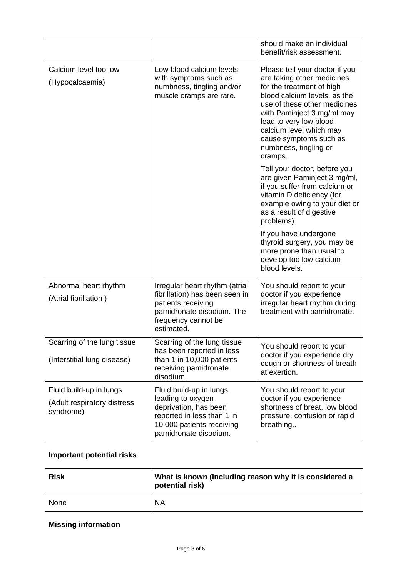|                                                                     |                                                                                                                                                            | should make an individual<br>benefit/risk assessment.                                                                                                                                                                                                                                                      |
|---------------------------------------------------------------------|------------------------------------------------------------------------------------------------------------------------------------------------------------|------------------------------------------------------------------------------------------------------------------------------------------------------------------------------------------------------------------------------------------------------------------------------------------------------------|
| Calcium level too low<br>(Hypocalcaemia)                            | Low blood calcium levels<br>with symptoms such as<br>numbness, tingling and/or<br>muscle cramps are rare.                                                  | Please tell your doctor if you<br>are taking other medicines<br>for the treatment of high<br>blood calcium levels, as the<br>use of these other medicines<br>with Paminject 3 mg/ml may<br>lead to very low blood<br>calcium level which may<br>cause symptoms such as<br>numbness, tingling or<br>cramps. |
|                                                                     |                                                                                                                                                            | Tell your doctor, before you<br>are given Paminject 3 mg/ml,<br>if you suffer from calcium or<br>vitamin D deficiency (for<br>example owing to your diet or<br>as a result of digestive<br>problems).                                                                                                      |
|                                                                     |                                                                                                                                                            | If you have undergone<br>thyroid surgery, you may be<br>more prone than usual to<br>develop too low calcium<br>blood levels.                                                                                                                                                                               |
| Abnormal heart rhythm<br>(Atrial fibrillation)                      | Irregular heart rhythm (atrial<br>fibrillation) has been seen in<br>patients receiving<br>pamidronate disodium. The<br>frequency cannot be<br>estimated.   | You should report to your<br>doctor if you experience<br>irregular heart rhythm during<br>treatment with pamidronate.                                                                                                                                                                                      |
| Scarring of the lung tissue<br>(Interstitial lung disease)          | Scarring of the lung tissue<br>has been reported in less<br>than 1 in 10,000 patients<br>receiving pamidronate<br>disodium.                                | You should report to your<br>doctor if you experience dry<br>cough or shortness of breath<br>at exertion.                                                                                                                                                                                                  |
| Fluid build-up in lungs<br>(Adult respiratory distress<br>syndrome) | Fluid build-up in lungs,<br>leading to oxygen<br>deprivation, has been<br>reported in less than 1 in<br>10,000 patients receiving<br>pamidronate disodium. | You should report to your<br>doctor if you experience<br>shortness of breat, low blood<br>pressure, confusion or rapid<br>breathing                                                                                                                                                                        |

## **Important potential risks**

| <b>Risk</b> | What is known (Including reason why it is considered a<br>potential risk) |
|-------------|---------------------------------------------------------------------------|
| None        | <b>NA</b>                                                                 |

## **Missing information**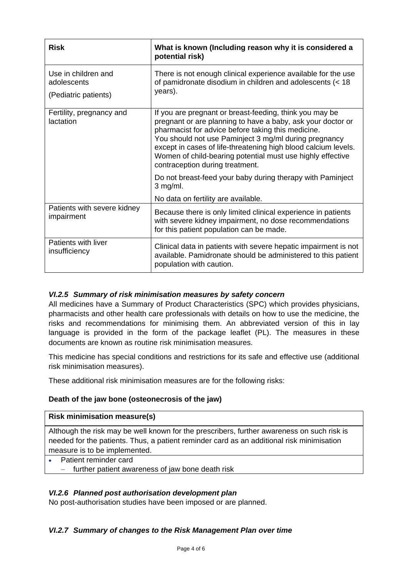| <b>Risk</b>                                                | What is known (Including reason why it is considered a<br>potential risk)                                                                                                                                                                                                                                                                                                                                |
|------------------------------------------------------------|----------------------------------------------------------------------------------------------------------------------------------------------------------------------------------------------------------------------------------------------------------------------------------------------------------------------------------------------------------------------------------------------------------|
| Use in children and<br>adolescents<br>(Pediatric patients) | There is not enough clinical experience available for the use<br>of pamidronate disodium in children and adolescents (< 18<br>years).                                                                                                                                                                                                                                                                    |
| Fertility, pregnancy and<br>lactation                      | If you are pregnant or breast-feeding, think you may be<br>pregnant or are planning to have a baby, ask your doctor or<br>pharmacist for advice before taking this medicine.<br>You should not use Paminject 3 mg/ml during pregnancy<br>except in cases of life-threatening high blood calcium levels.<br>Women of child-bearing potential must use highly effective<br>contraception during treatment. |
|                                                            | Do not breast-feed your baby during therapy with Paminject<br>$3$ mg/ml.                                                                                                                                                                                                                                                                                                                                 |
|                                                            | No data on fertility are available.                                                                                                                                                                                                                                                                                                                                                                      |
| Patients with severe kidney<br>impairment                  | Because there is only limited clinical experience in patients<br>with severe kidney impairment, no dose recommendations<br>for this patient population can be made.                                                                                                                                                                                                                                      |
| Patients with liver<br>insufficiency                       | Clinical data in patients with severe hepatic impairment is not<br>available. Pamidronate should be administered to this patient<br>population with caution.                                                                                                                                                                                                                                             |

## *VI.2.5 Summary of risk minimisation measures by safety concern*

All medicines have a Summary of Product Characteristics (SPC) which provides physicians, pharmacists and other health care professionals with details on how to use the medicine, the risks and recommendations for minimising them. An abbreviated version of this in lay language is provided in the form of the package leaflet (PL). The measures in these documents are known as routine risk minimisation measures.

This medicine has special conditions and restrictions for its safe and effective use (additional risk minimisation measures).

These additional risk minimisation measures are for the following risks:

## **Death of the jaw bone (osteonecrosis of the jaw)**

### **Risk minimisation measure(s)**

Although the risk may be well known for the prescribers, further awareness on such risk is needed for the patients. Thus, a patient reminder card as an additional risk minimisation measure is to be implemented.

- Patient reminder card
	- further patient awareness of jaw bone death risk

## *VI.2.6 Planned post authorisation development plan*

No post-authorisation studies have been imposed or are planned.

### *VI.2.7 Summary of changes to the Risk Management Plan over time*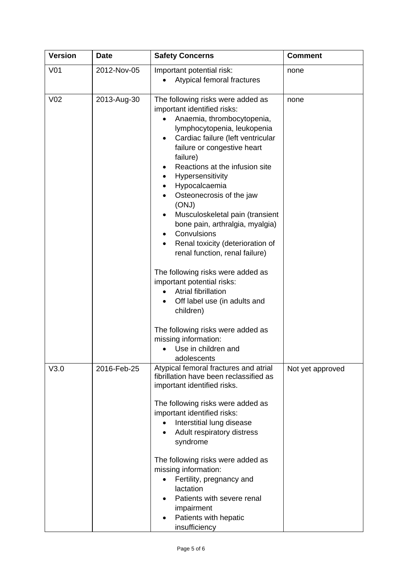| <b>Version</b>  | <b>Date</b> | <b>Safety Concerns</b>                                                                                                                                                                                                                                                                                                                                                                                                                                                                                                                                                                                                                                                                                                                           | <b>Comment</b>   |
|-----------------|-------------|--------------------------------------------------------------------------------------------------------------------------------------------------------------------------------------------------------------------------------------------------------------------------------------------------------------------------------------------------------------------------------------------------------------------------------------------------------------------------------------------------------------------------------------------------------------------------------------------------------------------------------------------------------------------------------------------------------------------------------------------------|------------------|
| V <sub>01</sub> | 2012-Nov-05 | Important potential risk:<br>Atypical femoral fractures                                                                                                                                                                                                                                                                                                                                                                                                                                                                                                                                                                                                                                                                                          | none             |
| V <sub>02</sub> | 2013-Aug-30 | The following risks were added as<br>important identified risks:<br>Anaemia, thrombocytopenia,<br>lymphocytopenia, leukopenia<br>Cardiac failure (left ventricular<br>$\bullet$<br>failure or congestive heart<br>failure)<br>Reactions at the infusion site<br>Hypersensitivity<br>٠<br>Hypocalcaemia<br>Osteonecrosis of the jaw<br>(ONJ)<br>Musculoskeletal pain (transient<br>bone pain, arthralgia, myalgia)<br>Convulsions<br>Renal toxicity (deterioration of<br>renal function, renal failure)<br>The following risks were added as<br>important potential risks:<br>Atrial fibrillation<br>Off label use (in adults and<br>children)<br>The following risks were added as<br>missing information:<br>Use in children and<br>adolescents | none             |
| V3.0            | 2016-Feb-25 | Atypical femoral fractures and atrial<br>fibrillation have been reclassified as<br>important identified risks.<br>The following risks were added as<br>important identified risks:<br>Interstitial lung disease<br>Adult respiratory distress<br>syndrome<br>The following risks were added as<br>missing information:<br>Fertility, pregnancy and<br>lactation<br>Patients with severe renal<br>impairment<br>Patients with hepatic<br>insufficiency                                                                                                                                                                                                                                                                                            | Not yet approved |